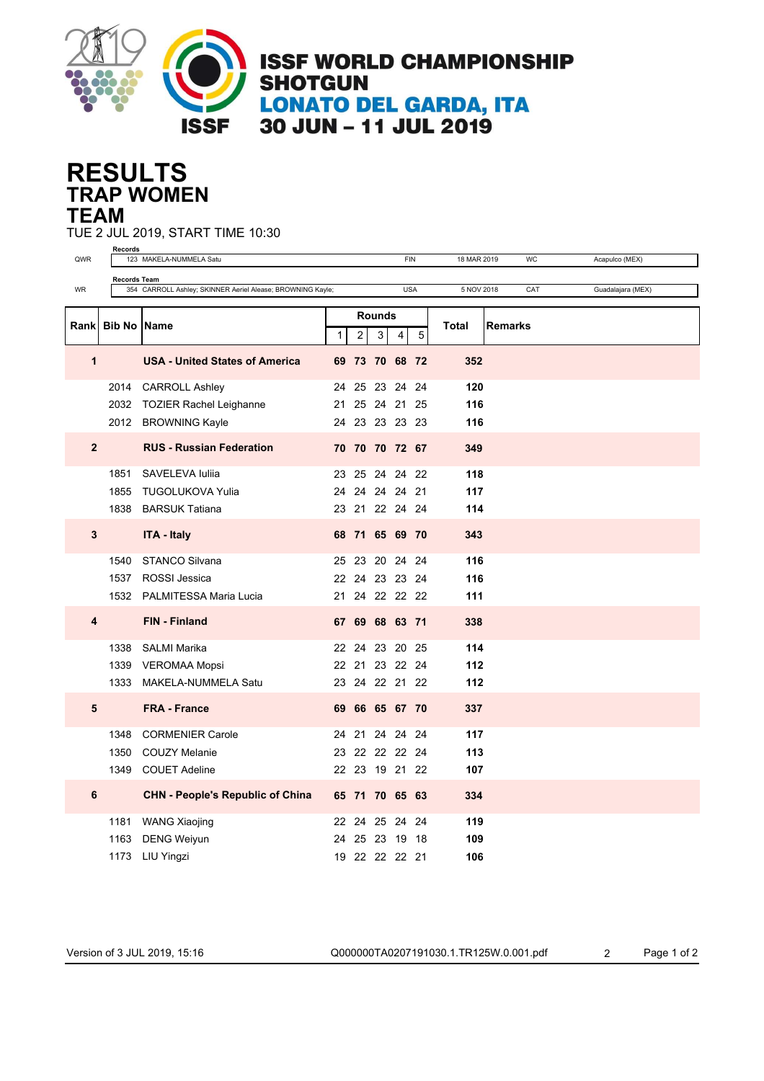

## **TRAP WOMEN RESULTS TEAM**

TUE 2 JUL 2019, START TIME 10:30

|             | Records<br><b>FIN</b><br>WC                                                                                                               |                                         |               |                        |  |                    |                |       |                |  |  |
|-------------|-------------------------------------------------------------------------------------------------------------------------------------------|-----------------------------------------|---------------|------------------------|--|--------------------|----------------|-------|----------------|--|--|
| QWR         |                                                                                                                                           | 123 MAKELA-NUMMELA Satu                 |               | 18 MAR 2019            |  |                    | Acapulco (MEX) |       |                |  |  |
| WR          | <b>Records Team</b><br>354 CARROLL Ashley; SKINNER Aeriel Alease; BROWNING Kayle;<br><b>USA</b><br>5 NOV 2018<br>CAT<br>Guadalajara (MEX) |                                         |               |                        |  |                    |                |       |                |  |  |
|             |                                                                                                                                           |                                         |               |                        |  |                    |                |       |                |  |  |
|             |                                                                                                                                           |                                         | <b>Rounds</b> |                        |  |                    |                |       |                |  |  |
| Rank        |                                                                                                                                           | <b>Bib No IName</b>                     |               | $\mathbf{1}$<br>2<br>3 |  | 5<br>4             |                | Total | <b>Remarks</b> |  |  |
|             |                                                                                                                                           |                                         |               |                        |  |                    |                |       |                |  |  |
| 1           |                                                                                                                                           | <b>USA - United States of America</b>   |               |                        |  | 69 73 70 68 72     |                | 352   |                |  |  |
|             | 2014                                                                                                                                      | <b>CARROLL Ashley</b>                   | 24            |                        |  | 25 23 24 24        |                | 120   |                |  |  |
|             | 2032                                                                                                                                      | TOZIER Rachel Leighanne                 | 21            |                        |  | 25 24 21 25        |                | 116   |                |  |  |
|             |                                                                                                                                           | 2012 BROWNING Kayle                     |               |                        |  | 24 23 23 23 23     |                | 116   |                |  |  |
|             |                                                                                                                                           |                                         |               |                        |  |                    |                |       |                |  |  |
| $\mathbf 2$ |                                                                                                                                           | <b>RUS - Russian Federation</b>         |               |                        |  | 70 70 70 72 67     |                | 349   |                |  |  |
|             | 1851                                                                                                                                      | SAVELEVA Iuliia                         |               |                        |  | 23 25 24 24 22     |                | 118   |                |  |  |
|             | 1855                                                                                                                                      | TUGOLUKOVA Yulia                        |               |                        |  | 24  24  24  24  21 |                | 117   |                |  |  |
|             | 1838                                                                                                                                      | <b>BARSUK Tatiana</b>                   |               |                        |  | 23 21 22 24 24     |                | 114   |                |  |  |
|             |                                                                                                                                           |                                         |               |                        |  |                    |                |       |                |  |  |
| 3           |                                                                                                                                           | <b>ITA - Italy</b>                      |               |                        |  | 68 71 65 69 70     |                | 343   |                |  |  |
|             | 1540                                                                                                                                      | <b>STANCO Silvana</b>                   |               |                        |  | 25 23 20 24 24     |                | 116   |                |  |  |
|             | 1537                                                                                                                                      | <b>ROSSI</b> Jessica                    |               |                        |  | 22 24 23 23 24     |                | 116   |                |  |  |
|             |                                                                                                                                           | 1532 PALMITESSA Maria Lucia             |               |                        |  | 21 24 22 22 22     |                | 111   |                |  |  |
|             |                                                                                                                                           |                                         |               |                        |  |                    |                |       |                |  |  |
| 4           |                                                                                                                                           | <b>FIN - Finland</b>                    | 67            |                        |  | 69 68 63 71        |                | 338   |                |  |  |
|             | 1338                                                                                                                                      | <b>SALMI Marika</b>                     |               |                        |  | 22 24 23 20 25     |                | 114   |                |  |  |
|             |                                                                                                                                           | 1339 VEROMAA Mopsi                      |               |                        |  | 22 21 23 22 24     |                | 112   |                |  |  |
|             |                                                                                                                                           | 1333 MAKELA-NUMMELA Satu                |               |                        |  | 23 24 22 21 22     |                | 112   |                |  |  |
|             |                                                                                                                                           |                                         |               |                        |  |                    |                |       |                |  |  |
| 5           |                                                                                                                                           | <b>FRA - France</b>                     |               |                        |  | 69 66 65 67 70     |                | 337   |                |  |  |
|             | 1348                                                                                                                                      | <b>CORMENIER Carole</b>                 | 24            |                        |  | 21 24 24 24        |                | 117   |                |  |  |
|             | 1350                                                                                                                                      | <b>COUZY Melanie</b>                    |               |                        |  | 23 22 22 22 24     |                | 113   |                |  |  |
|             |                                                                                                                                           | 1349 COUET Adeline                      |               |                        |  | 22 23 19 21 22     |                | 107   |                |  |  |
| 6           |                                                                                                                                           | <b>CHN - People's Republic of China</b> |               |                        |  |                    |                |       |                |  |  |
|             |                                                                                                                                           |                                         |               |                        |  | 65 71 70 65 63     |                | 334   |                |  |  |
|             | 1181                                                                                                                                      | WANG Xiaojing                           |               |                        |  | 22 24 25 24 24     |                | 119   |                |  |  |
|             | 1163                                                                                                                                      | <b>DENG Weiyun</b>                      | 24            |                        |  | 25 23 19 18        |                | 109   |                |  |  |
|             |                                                                                                                                           | 1173 LIU Yingzi                         |               |                        |  | 19 22 22 22 21     |                | 106   |                |  |  |

Version of 3 JUL 2019, 15:16 Q000000TA0207191030.1.TR125W.0.001.pdf 2 Page 1 of 2